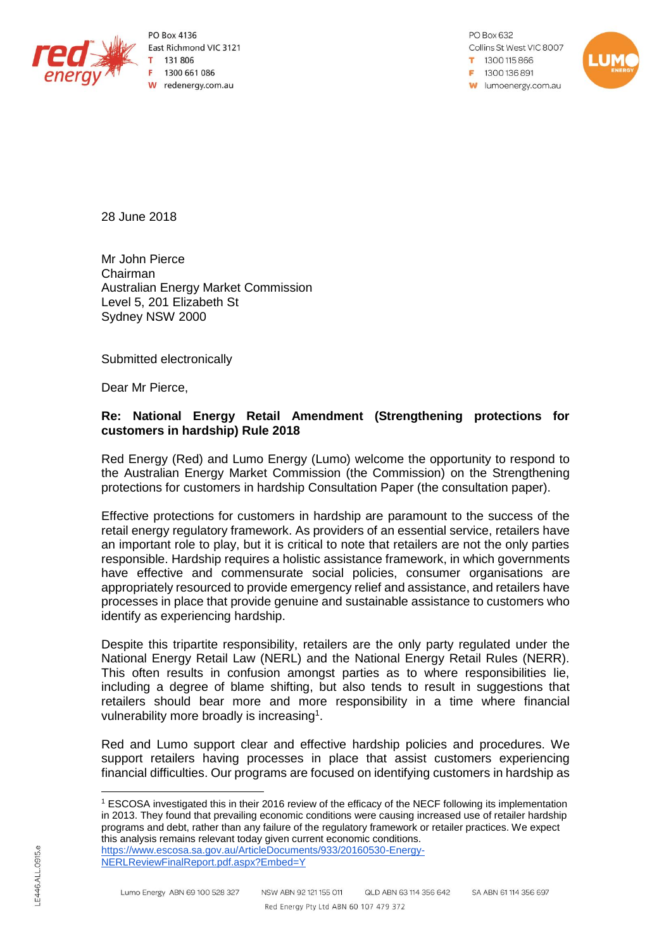

PO Box 4136 East Richmond VIC 3121 131 806 1300 661 086 W redenergy.com.au

PO Box 632 Collins St West VIC 8007 1300115866 F 1300 136 891 **w** lumoenergy.com.au



28 June 2018

Mr John Pierce Chairman Australian Energy Market Commission Level 5, 201 Elizabeth St Sydney NSW 2000

Submitted electronically

Dear Mr Pierce,

### **Re: National Energy Retail Amendment (Strengthening protections for customers in hardship) Rule 2018**

Red Energy (Red) and Lumo Energy (Lumo) welcome the opportunity to respond to the Australian Energy Market Commission (the Commission) on the Strengthening protections for customers in hardship Consultation Paper (the consultation paper).

Effective protections for customers in hardship are paramount to the success of the retail energy regulatory framework. As providers of an essential service, retailers have an important role to play, but it is critical to note that retailers are not the only parties responsible. Hardship requires a holistic assistance framework, in which governments have effective and commensurate social policies, consumer organisations are appropriately resourced to provide emergency relief and assistance, and retailers have processes in place that provide genuine and sustainable assistance to customers who identify as experiencing hardship.

Despite this tripartite responsibility, retailers are the only party regulated under the National Energy Retail Law (NERL) and the National Energy Retail Rules (NERR). This often results in confusion amongst parties as to where responsibilities lie, including a degree of blame shifting, but also tends to result in suggestions that retailers should bear more and more responsibility in a time where financial vulnerability more broadly is increasing<sup>1</sup>.

Red and Lumo support clear and effective hardship policies and procedures. We support retailers having processes in place that assist customers experiencing financial difficulties. Our programs are focused on identifying customers in hardship as

 $\overline{a}$ 

<sup>1</sup> ESCOSA investigated this in their 2016 review of the efficacy of the NECF following its implementation in 2013. They found that prevailing economic conditions were causing increased use of retailer hardship programs and debt, rather than any failure of the regulatory framework or retailer practices. We expect this analysis remains relevant today given current economic conditions. [https://www.escosa.sa.gov.au/ArticleDocuments/933/20160530-Energy-](https://www.escosa.sa.gov.au/ArticleDocuments/933/20160530-Energy-NERLReviewFinalReport.pdf.aspx?Embed=Y)

[NERLReviewFinalReport.pdf.aspx?Embed=Y](https://www.escosa.sa.gov.au/ArticleDocuments/933/20160530-Energy-NERLReviewFinalReport.pdf.aspx?Embed=Y)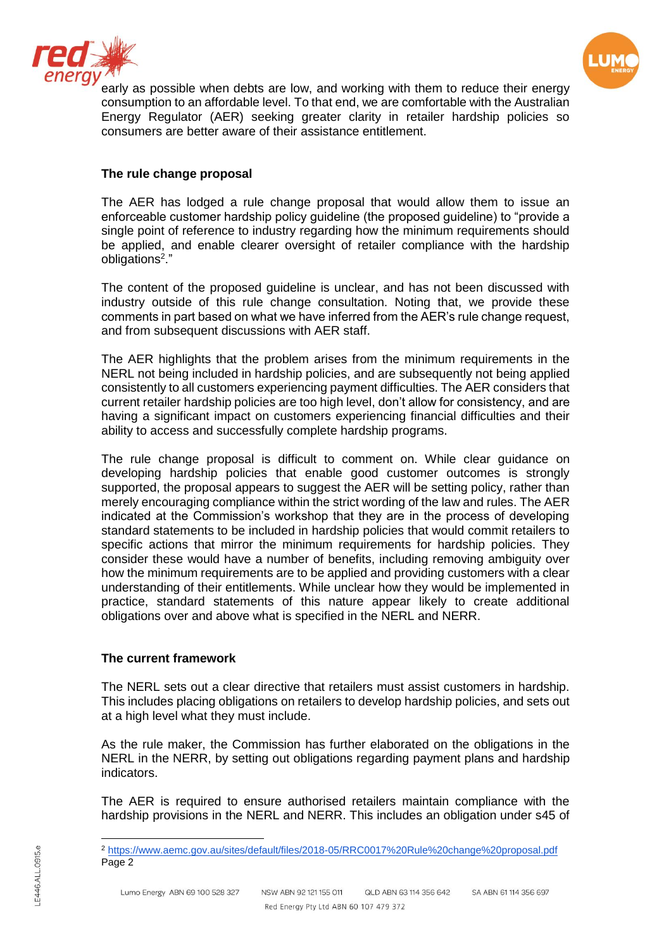



early as possible when debts are low, and working with them to reduce their energy consumption to an affordable level. To that end, we are comfortable with the Australian Energy Regulator (AER) seeking greater clarity in retailer hardship policies so consumers are better aware of their assistance entitlement.

### **The rule change proposal**

The AER has lodged a rule change proposal that would allow them to issue an enforceable customer hardship policy guideline (the proposed guideline) to "provide a single point of reference to industry regarding how the minimum requirements should be applied, and enable clearer oversight of retailer compliance with the hardship obligations<sup>2</sup>."

The content of the proposed guideline is unclear, and has not been discussed with industry outside of this rule change consultation. Noting that, we provide these comments in part based on what we have inferred from the AER's rule change request, and from subsequent discussions with AER staff.

The AER highlights that the problem arises from the minimum requirements in the NERL not being included in hardship policies, and are subsequently not being applied consistently to all customers experiencing payment difficulties. The AER considers that current retailer hardship policies are too high level, don't allow for consistency, and are having a significant impact on customers experiencing financial difficulties and their ability to access and successfully complete hardship programs.

The rule change proposal is difficult to comment on. While clear guidance on developing hardship policies that enable good customer outcomes is strongly supported, the proposal appears to suggest the AER will be setting policy, rather than merely encouraging compliance within the strict wording of the law and rules. The AER indicated at the Commission's workshop that they are in the process of developing standard statements to be included in hardship policies that would commit retailers to specific actions that mirror the minimum requirements for hardship policies. They consider these would have a number of benefits, including removing ambiguity over how the minimum requirements are to be applied and providing customers with a clear understanding of their entitlements. While unclear how they would be implemented in practice, standard statements of this nature appear likely to create additional obligations over and above what is specified in the NERL and NERR.

### **The current framework**

The NERL sets out a clear directive that retailers must assist customers in hardship. This includes placing obligations on retailers to develop hardship policies, and sets out at a high level what they must include.

As the rule maker, the Commission has further elaborated on the obligations in the NERL in the NERR, by setting out obligations regarding payment plans and hardship indicators.

The AER is required to ensure authorised retailers maintain compliance with the hardship provisions in the NERL and NERR. This includes an obligation under s45 of

 $\overline{a}$ 

<sup>2</sup> <https://www.aemc.gov.au/sites/default/files/2018-05/RRC0017%20Rule%20change%20proposal.pdf> Page 2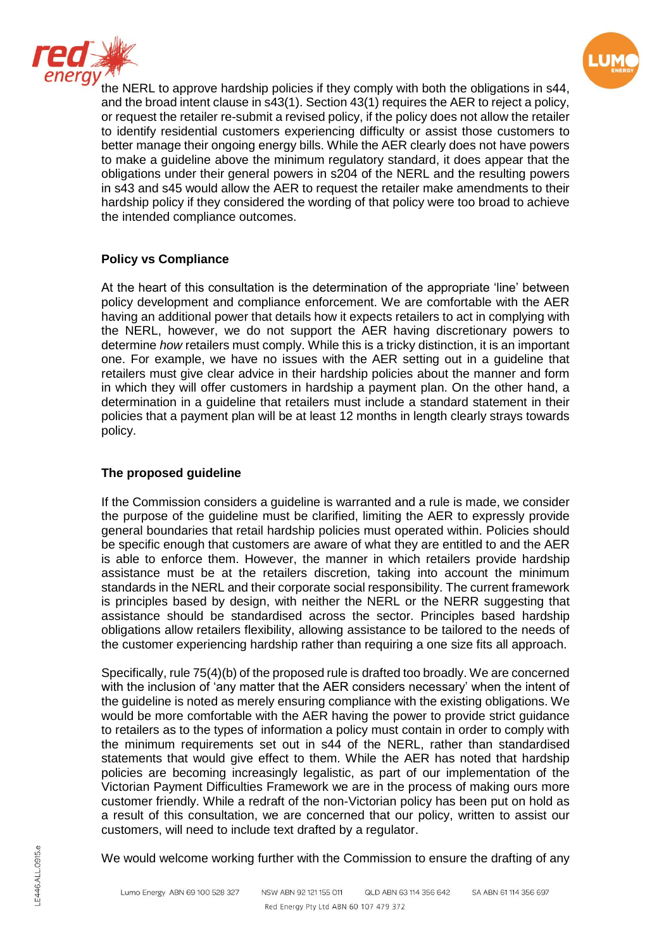



the NERL to approve hardship policies if they comply with both the obligations in s44, and the broad intent clause in s43(1). Section 43(1) requires the AER to reject a policy, or request the retailer re-submit a revised policy, if the policy does not allow the retailer to identify residential customers experiencing difficulty or assist those customers to better manage their ongoing energy bills. While the AER clearly does not have powers to make a guideline above the minimum regulatory standard, it does appear that the obligations under their general powers in s204 of the NERL and the resulting powers in s43 and s45 would allow the AER to request the retailer make amendments to their hardship policy if they considered the wording of that policy were too broad to achieve the intended compliance outcomes.

# **Policy vs Compliance**

At the heart of this consultation is the determination of the appropriate 'line' between policy development and compliance enforcement. We are comfortable with the AER having an additional power that details how it expects retailers to act in complying with the NERL, however, we do not support the AER having discretionary powers to determine *how* retailers must comply. While this is a tricky distinction, it is an important one. For example, we have no issues with the AER setting out in a guideline that retailers must give clear advice in their hardship policies about the manner and form in which they will offer customers in hardship a payment plan. On the other hand, a determination in a guideline that retailers must include a standard statement in their policies that a payment plan will be at least 12 months in length clearly strays towards policy.

## **The proposed guideline**

If the Commission considers a guideline is warranted and a rule is made, we consider the purpose of the guideline must be clarified, limiting the AER to expressly provide general boundaries that retail hardship policies must operated within. Policies should be specific enough that customers are aware of what they are entitled to and the AER is able to enforce them. However, the manner in which retailers provide hardship assistance must be at the retailers discretion, taking into account the minimum standards in the NERL and their corporate social responsibility. The current framework is principles based by design, with neither the NERL or the NERR suggesting that assistance should be standardised across the sector. Principles based hardship obligations allow retailers flexibility, allowing assistance to be tailored to the needs of the customer experiencing hardship rather than requiring a one size fits all approach.

Specifically, rule 75(4)(b) of the proposed rule is drafted too broadly. We are concerned with the inclusion of 'any matter that the AER considers necessary' when the intent of the guideline is noted as merely ensuring compliance with the existing obligations. We would be more comfortable with the AER having the power to provide strict guidance to retailers as to the types of information a policy must contain in order to comply with the minimum requirements set out in s44 of the NERL, rather than standardised statements that would give effect to them. While the AER has noted that hardship policies are becoming increasingly legalistic, as part of our implementation of the Victorian Payment Difficulties Framework we are in the process of making ours more customer friendly. While a redraft of the non-Victorian policy has been put on hold as a result of this consultation, we are concerned that our policy, written to assist our customers, will need to include text drafted by a regulator.

We would welcome working further with the Commission to ensure the drafting of any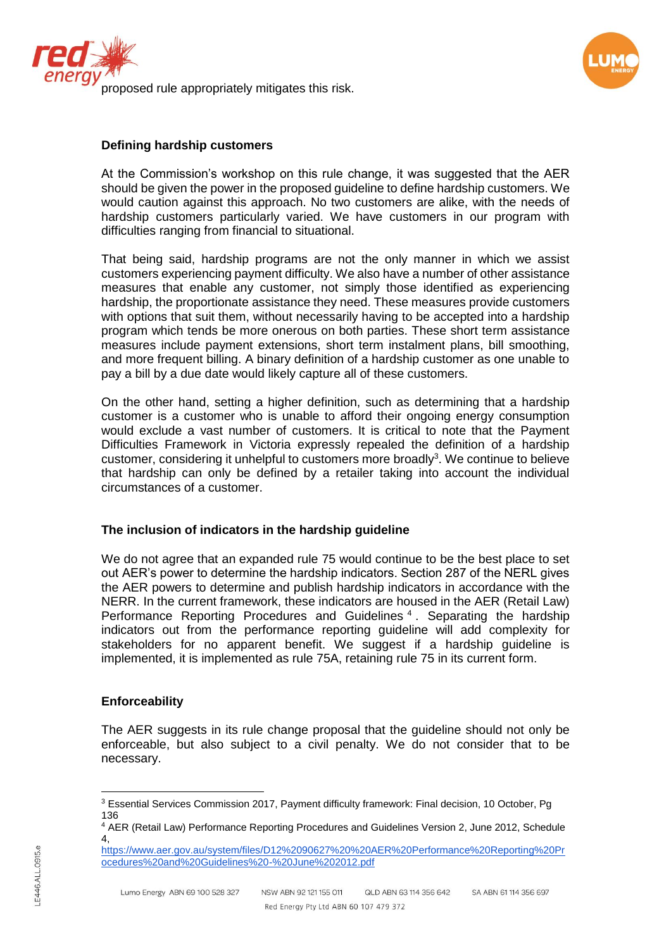



## **Defining hardship customers**

At the Commission's workshop on this rule change, it was suggested that the AER should be given the power in the proposed guideline to define hardship customers. We would caution against this approach. No two customers are alike, with the needs of hardship customers particularly varied. We have customers in our program with difficulties ranging from financial to situational.

That being said, hardship programs are not the only manner in which we assist customers experiencing payment difficulty. We also have a number of other assistance measures that enable any customer, not simply those identified as experiencing hardship, the proportionate assistance they need. These measures provide customers with options that suit them, without necessarily having to be accepted into a hardship program which tends be more onerous on both parties. These short term assistance measures include payment extensions, short term instalment plans, bill smoothing, and more frequent billing. A binary definition of a hardship customer as one unable to pay a bill by a due date would likely capture all of these customers.

On the other hand, setting a higher definition, such as determining that a hardship customer is a customer who is unable to afford their ongoing energy consumption would exclude a vast number of customers. It is critical to note that the Payment Difficulties Framework in Victoria expressly repealed the definition of a hardship customer, considering it unhelpful to customers more broadly<sup>3</sup>. We continue to believe that hardship can only be defined by a retailer taking into account the individual circumstances of a customer.

### **The inclusion of indicators in the hardship guideline**

We do not agree that an expanded rule 75 would continue to be the best place to set out AER's power to determine the hardship indicators. Section 287 of the NERL gives the AER powers to determine and publish hardship indicators in accordance with the NERR. In the current framework, these indicators are housed in the AER (Retail Law) Performance Reporting Procedures and Guidelines<sup>4</sup>. Separating the hardship indicators out from the performance reporting guideline will add complexity for stakeholders for no apparent benefit. We suggest if a hardship guideline is implemented, it is implemented as rule 75A, retaining rule 75 in its current form.

### **Enforceability**

The AER suggests in its rule change proposal that the guideline should not only be enforceable, but also subject to a civil penalty. We do not consider that to be necessary.

 $\overline{a}$ <sup>3</sup> Essential Services Commission 2017, Payment difficulty framework: Final decision, 10 October, Pg 136

<sup>4</sup> AER (Retail Law) Performance Reporting Procedures and Guidelines Version 2, June 2012, Schedule 4,

[https://www.aer.gov.au/system/files/D12%2090627%20%20AER%20Performance%20Reporting%20Pr](https://www.aer.gov.au/system/files/D12%2090627%20%20AER%20Performance%20Reporting%20Procedures%20and%20Guidelines%20-%20June%202012.pdf) [ocedures%20and%20Guidelines%20-%20June%202012.pdf](https://www.aer.gov.au/system/files/D12%2090627%20%20AER%20Performance%20Reporting%20Procedures%20and%20Guidelines%20-%20June%202012.pdf)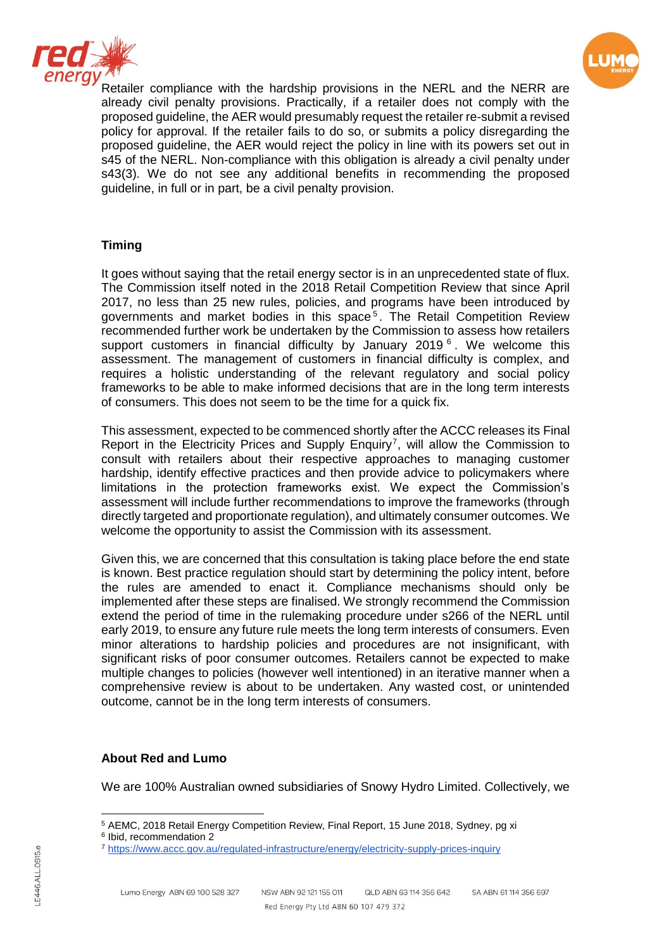



Retailer compliance with the hardship provisions in the NERL and the NERR are already civil penalty provisions. Practically, if a retailer does not comply with the proposed guideline, the AER would presumably request the retailer re-submit a revised policy for approval. If the retailer fails to do so, or submits a policy disregarding the proposed guideline, the AER would reject the policy in line with its powers set out in s45 of the NERL. Non-compliance with this obligation is already a civil penalty under s43(3). We do not see any additional benefits in recommending the proposed guideline, in full or in part, be a civil penalty provision.

# **Timing**

It goes without saying that the retail energy sector is in an unprecedented state of flux. The Commission itself noted in the 2018 Retail Competition Review that since April 2017, no less than 25 new rules, policies, and programs have been introduced by governments and market bodies in this space<sup>5</sup>. The Retail Competition Review recommended further work be undertaken by the Commission to assess how retailers support customers in financial difficulty by January 2019 $<sup>6</sup>$ . We welcome this</sup> assessment. The management of customers in financial difficulty is complex, and requires a holistic understanding of the relevant regulatory and social policy frameworks to be able to make informed decisions that are in the long term interests of consumers. This does not seem to be the time for a quick fix.

This assessment, expected to be commenced shortly after the ACCC releases its Final Report in the Electricity Prices and Supply Enquiry<sup>7</sup>, will allow the Commission to consult with retailers about their respective approaches to managing customer hardship, identify effective practices and then provide advice to policymakers where limitations in the protection frameworks exist. We expect the Commission's assessment will include further recommendations to improve the frameworks (through directly targeted and proportionate regulation), and ultimately consumer outcomes. We welcome the opportunity to assist the Commission with its assessment.

Given this, we are concerned that this consultation is taking place before the end state is known. Best practice regulation should start by determining the policy intent, before the rules are amended to enact it. Compliance mechanisms should only be implemented after these steps are finalised. We strongly recommend the Commission extend the period of time in the rulemaking procedure under s266 of the NERL until early 2019, to ensure any future rule meets the long term interests of consumers. Even minor alterations to hardship policies and procedures are not insignificant, with significant risks of poor consumer outcomes. Retailers cannot be expected to make multiple changes to policies (however well intentioned) in an iterative manner when a comprehensive review is about to be undertaken. Any wasted cost, or unintended outcome, cannot be in the long term interests of consumers.

### **About Red and Lumo**

We are 100% Australian owned subsidiaries of Snowy Hydro Limited. Collectively, we

 $\overline{\phantom{a}}$ <sup>5</sup> AEMC, 2018 Retail Energy Competition Review, Final Report, 15 June 2018, Sydney, pg xi

<sup>6</sup> Ibid, recommendation 2

<sup>7</sup> <https://www.accc.gov.au/regulated-infrastructure/energy/electricity-supply-prices-inquiry>